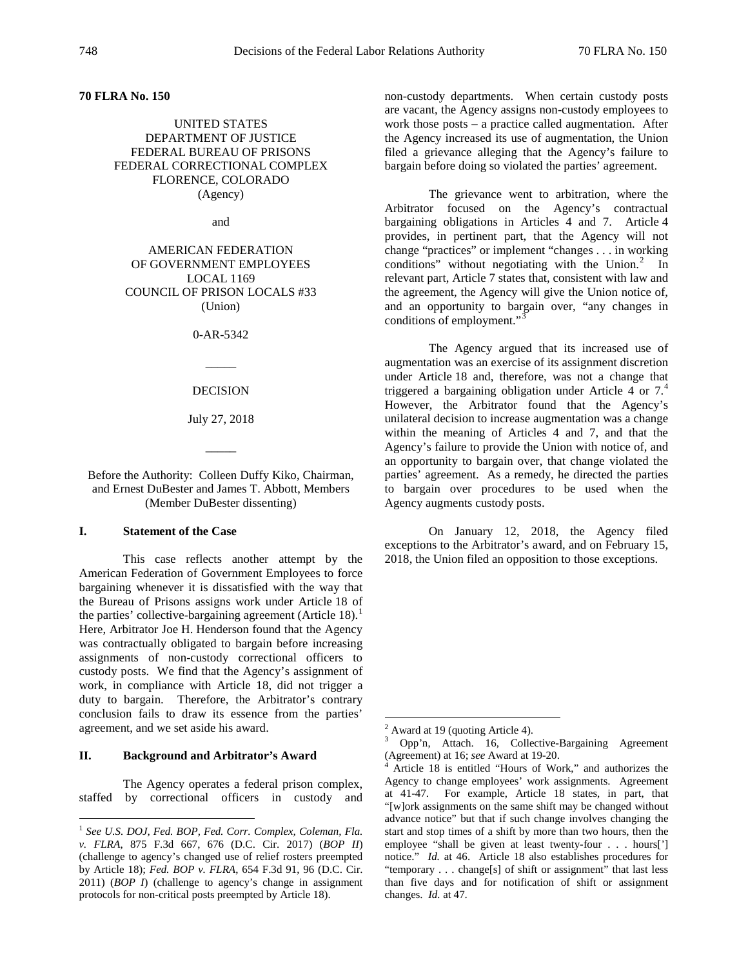### **70 FLRA No. 150**

# UNITED STATES DEPARTMENT OF JUSTICE FEDERAL BUREAU OF PRISONS FEDERAL CORRECTIONAL COMPLEX FLORENCE, COLORADO (Agency)

and

AMERICAN FEDERATION OF GOVERNMENT EMPLOYEES LOCAL 1169 COUNCIL OF PRISON LOCALS #33 (Union)

0-AR-5342

 $\overline{\phantom{a}}$ 

DECISION

July 27, 2018

 $\overline{\phantom{a}}$ 

Before the Authority: Colleen Duffy Kiko, Chairman, and Ernest DuBester and James T. Abbott, Members (Member DuBester dissenting)

#### **I. Statement of the Case**

This case reflects another attempt by the American Federation of Government Employees to force bargaining whenever it is dissatisfied with the way that the Bureau of Prisons assigns work under Article 18 of the parties' collective-bargaining agreement (Article [1](#page-0-0)8).<sup>1</sup> Here, Arbitrator Joe H. Henderson found that the Agency was contractually obligated to bargain before increasing assignments of non-custody correctional officers to custody posts. We find that the Agency's assignment of work, in compliance with Article 18, did not trigger a duty to bargain. Therefore, the Arbitrator's contrary conclusion fails to draw its essence from the parties' agreement, and we set aside his award.

### <span id="page-0-3"></span><span id="page-0-2"></span><span id="page-0-1"></span>**II. Background and Arbitrator's Award**

The Agency operates a federal prison complex, staffed by correctional officers in custody and non-custody departments. When certain custody posts are vacant, the Agency assigns non-custody employees to work those posts – a practice called augmentation. After the Agency increased its use of augmentation, the Union filed a grievance alleging that the Agency's failure to bargain before doing so violated the parties' agreement.

The grievance went to arbitration, where the Arbitrator focused on the Agency's contractual bargaining obligations in Articles 4 and 7. Article 4 provides, in pertinent part, that the Agency will not change "practices" or implement "changes . . . in working conditions" without negotiating with the Union. $2$  In relevant part, Article 7 states that, consistent with law and the agreement, the Agency will give the Union notice of, and an opportunity to bargain over, "any changes in conditions of employment."<sup>[3](#page-0-2)</sup>

The Agency argued that its increased use of augmentation was an exercise of its assignment discretion under Article 18 and, therefore, was not a change that triggered a bargaining obligation under Article [4](#page-0-3) or  $7<sup>4</sup>$ However, the Arbitrator found that the Agency's unilateral decision to increase augmentation was a change within the meaning of Articles 4 and 7, and that the Agency's failure to provide the Union with notice of, and an opportunity to bargain over, that change violated the parties' agreement. As a remedy, he directed the parties to bargain over procedures to be used when the Agency augments custody posts.

On January 12, 2018, the Agency filed exceptions to the Arbitrator's award, and on February 15, 2018, the Union filed an opposition to those exceptions.

<span id="page-0-0"></span> <sup>1</sup> *See U.S. DOJ, Fed. BOP, Fed. Corr. Complex, Coleman, Fla. v. FLRA*, 875 F.3d 667, 676 (D.C. Cir. 2017) (*BOP II*) (challenge to agency's changed use of relief rosters preempted by Article 18); *Fed. BOP v. FLRA*, 654 F.3d 91, 96 (D.C. Cir. 2011) (*BOP I*) (challenge to agency's change in assignment protocols for non-critical posts preempted by Article 18).

<sup>&</sup>lt;sup>2</sup> Award at 19 (quoting Article 4).<br><sup>3</sup> Opp'n, Attach. 16, Collective-Bargaining Agreement (Agreement) at 16; *see* Award at 19-20.

Article 18 is entitled "Hours of Work," and authorizes the Agency to change employees' work assignments. Agreement at 41-47. For example, Article 18 states, in part, that "[w]ork assignments on the same shift may be changed without advance notice" but that if such change involves changing the start and stop times of a shift by more than two hours, then the employee "shall be given at least twenty-four . . . hours['] notice." *Id.* at 46. Article 18 also establishes procedures for "temporary . . . change[s] of shift or assignment" that last less than five days and for notification of shift or assignment changes. *Id.* at 47.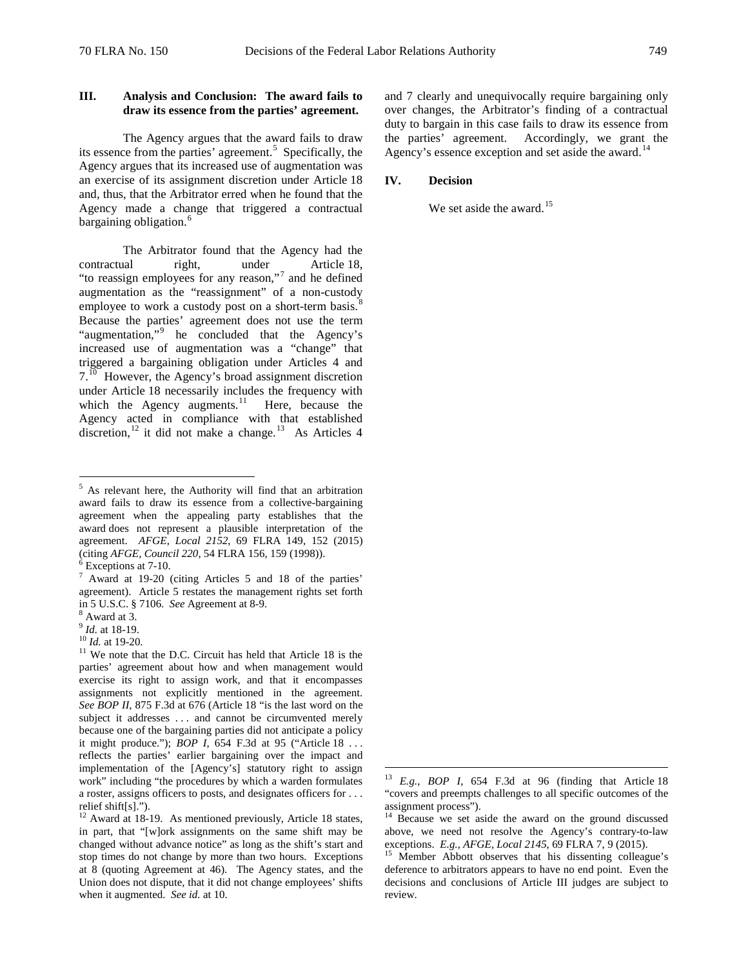# **III. Analysis and Conclusion: The award fails to draw its essence from the parties' agreement.**

The Agency argues that the award fails to draw its essence from the parties' agreement.<sup>[5](#page-1-0)</sup> Specifically, the Agency argues that its increased use of augmentation was an exercise of its assignment discretion under Article 18 and, thus, that the Arbitrator erred when he found that the Agency made a change that triggered a contractual bargaining obligation.<sup>[6](#page-1-1)</sup>

The Arbitrator found that the Agency had the contractual right, under Article 18, "to reassign employees for any reason,"<sup>[7](#page-1-2)</sup> and he defined augmentation as the "reassignment" of a non-custody employee to work a custody post on a short-term basis.<sup>[8](#page-1-3)</sup> Because the parties' agreement does not use the term "augmentation,"<sup>[9](#page-1-4)</sup> he concluded that the Agency's increased use of augmentation was a "change" that triggered a bargaining obligation under Articles 4 and 7.<sup>[10](#page-1-5)</sup> However, the Agency's broad assignment discretion under Article 18 necessarily includes the frequency with which the Agency augments.<sup>[11](#page-1-6)</sup> Here, because the Agency acted in compliance with that established discretion,<sup>[12](#page-1-7)</sup> it did not make a change.<sup>[13](#page-1-8)</sup> As Articles 4

<span id="page-1-3"></span>

<span id="page-1-4"></span>

and 7 clearly and unequivocally require bargaining only over changes, the Arbitrator's finding of a contractual duty to bargain in this case fails to draw its essence from the parties' agreement. Accordingly, we grant the Agency's essence exception and set aside the award.<sup>[14](#page-1-7)</sup>

### **IV. Decision**

We set aside the award. $15$ 

<span id="page-1-0"></span> <sup>5</sup> As relevant here, the Authority will find that an arbitration award fails to draw its essence from a collective-bargaining agreement when the appealing party establishes that the award does not represent a plausible interpretation of the agreement. *AFGE*, *Local 2152*, 69 FLRA 149, 152 (2015)

<span id="page-1-2"></span><span id="page-1-1"></span><sup>&</sup>lt;sup>6</sup> Exceptions at 7-10.  $\frac{7}{7}$  Award at 19-20 (citing Articles 5 and 18 of the parties' agreement). Article 5 restates the management rights set forth in 5 U.S.C. § 7106. *See* Agreement at 8-9. <sup>8</sup> Award at 3.

<span id="page-1-6"></span><span id="page-1-5"></span><sup>&</sup>lt;sup>10</sup> *Id.* at 19-20.<br><sup>11</sup> We note that the D.C. Circuit has held that Article 18 is the parties' agreement about how and when management would exercise its right to assign work, and that it encompasses assignments not explicitly mentioned in the agreement. *See BOP II*, 875 F.3d at 676 (Article 18 "is the last word on the subject it addresses . . . and cannot be circumvented merely because one of the bargaining parties did not anticipate a policy it might produce."); *BOP I*, 654 F.3d at 95 ("Article 18 . . . reflects the parties' earlier bargaining over the impact and implementation of the [Agency's] statutory right to assign work" including "the procedures by which a warden formulates a roster, assigns officers to posts, and designates officers for . . . relief shift[s].").

<span id="page-1-9"></span><span id="page-1-8"></span><span id="page-1-7"></span><sup>&</sup>lt;sup>12</sup> Award at 18-19. As mentioned previously, Article 18 states, in part, that "[w]ork assignments on the same shift may be changed without advance notice" as long as the shift's start and stop times do not change by more than two hours. Exceptions at 8 (quoting Agreement at 46). The Agency states, and the Union does not dispute, that it did not change employees' shifts when it augmented. *See id.* at 10.

 <sup>13</sup> *E.g.*, *BOP I*, 654 F.3d at 96 (finding that Article <sup>18</sup> "covers and preempts challenges to all specific outcomes of the assignment process").

<sup>&</sup>lt;sup>14</sup> Because we set aside the award on the ground discussed above, we need not resolve the Agency's contrary-to-law exceptions. *E.g.*, *AFGE, Local 2145*, 69 FLRA 7, 9 (2015). <sup>15</sup> Member Abbott observes that his dissenting colleague's

deference to arbitrators appears to have no end point. Even the decisions and conclusions of Article III judges are subject to review.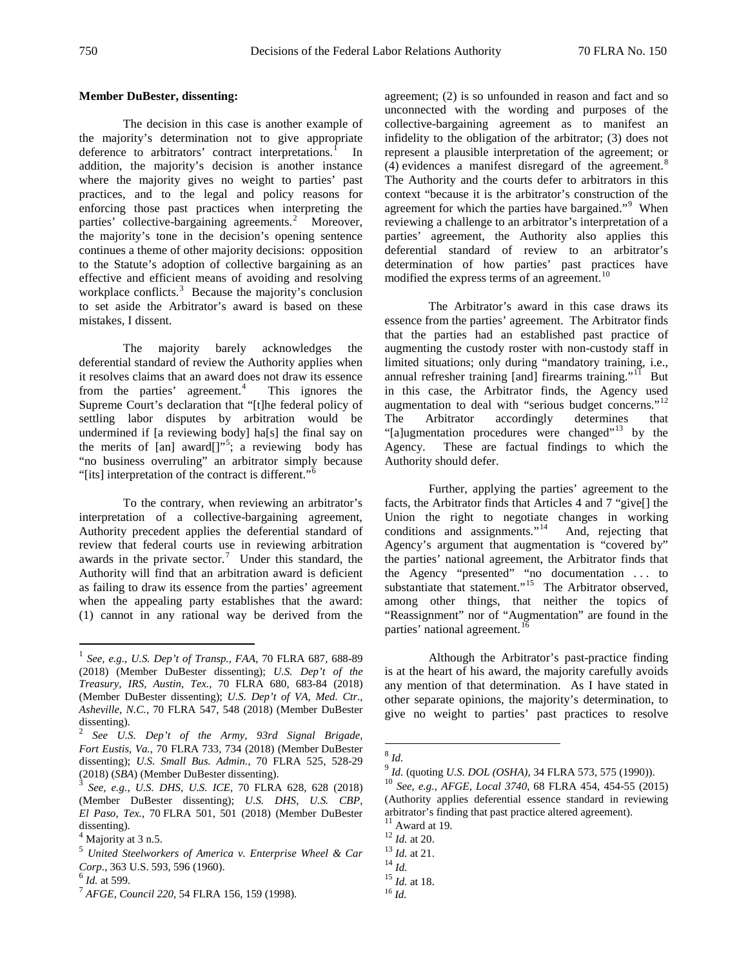#### **Member DuBester, dissenting:**

The decision in this case is another example of the majority's determination not to give appropriate deference to arbitrators' contract interpretations.<sup>I</sup> In addition, the majority's decision is another instance where the majority gives no weight to parties' past practices, and to the legal and policy reasons for enforcing those past practices when interpreting the parties' collective-bargaining agreements.<sup>[2](#page-2-1)</sup> Moreover, the majority's tone in the decision's opening sentence continues a theme of other majority decisions: opposition to the Statute's adoption of collective bargaining as an effective and efficient means of avoiding and resolving workplace conflicts.<sup>[3](#page-2-2)</sup> Because the majority's conclusion to set aside the Arbitrator's award is based on these mistakes, I dissent.

The majority barely acknowledges the deferential standard of review the Authority applies when it resolves claims that an award does not draw its essence from the parties' agreement.<sup>[4](#page-2-3)</sup> This ignores the Supreme Court's declaration that "[t]he federal policy of settling labor disputes by arbitration would be undermined if [a reviewing body] ha[s] the final say on the merits of [an] award[]"<sup>[5](#page-2-4)</sup>; a reviewing body has "no business overruling" an arbitrator simply because "[its] interpretation of the contract is different."[6](#page-2-5)

To the contrary, when reviewing an arbitrator's interpretation of a collective-bargaining agreement, Authority precedent applies the deferential standard of review that federal courts use in reviewing arbitration awards in the private sector.<sup>[7](#page-2-6)</sup> Under this standard, the Authority will find that an arbitration award is deficient as failing to draw its essence from the parties' agreement when the appealing party establishes that the award: (1) cannot in any rational way be derived from the

agreement; (2) is so unfounded in reason and fact and so unconnected with the wording and purposes of the collective-bargaining agreement as to manifest an infidelity to the obligation of the arbitrator; (3) does not represent a plausible interpretation of the agreement; or  $(4)$  evidences a manifest disregard of the agreement.<sup>[8](#page-2-7)</sup> The Authority and the courts defer to arbitrators in this context "because it is the arbitrator's construction of the agreement for which the parties have bargained."<sup>[9](#page-2-8)</sup> When reviewing a challenge to an arbitrator's interpretation of a parties' agreement, the Authority also applies this deferential standard of review to an arbitrator's determination of how parties' past practices have modified the express terms of an agreement.<sup>[10](#page-2-9)</sup>

The Arbitrator's award in this case draws its essence from the parties' agreement. The Arbitrator finds that the parties had an established past practice of augmenting the custody roster with non-custody staff in limited situations; only during "mandatory training, i.e., annual refresher training [and] firearms training."<sup>[11](#page-2-10)</sup> But in this case, the Arbitrator finds, the Agency used augmentation to deal with "serious budget concerns."<sup>[12](#page-2-3)</sup> The Arbitrator accordingly determines that "[a]ugmentation procedures were changed"<sup>[13](#page-2-4)</sup> by the Agency. These are factual findings to which the Authority should defer.

Further, applying the parties' agreement to the facts, the Arbitrator finds that Articles 4 and 7 "give[] the Union the right to negotiate changes in working conditions and assignments."<sup>[14](#page-2-11)</sup> And, rejecting that Agency's argument that augmentation is "covered by" the parties' national agreement, the Arbitrator finds that the Agency "presented" "no documentation . . . to substantiate that statement.<sup>"[15](#page-2-12)</sup> The Arbitrator observed, among other things, that neither the topics of "Reassignment" nor of "Augmentation" are found in the parties' national agreement.<sup>[16](#page-2-13)</sup>

Although the Arbitrator's past-practice finding is at the heart of his award, the majority carefully avoids any mention of that determination. As I have stated in other separate opinions, the majority's determination, to give no weight to parties' past practices to resolve

<span id="page-2-0"></span> <sup>1</sup> *See, e.g.*, *U.S. Dep't of Transp., FAA*, 70 FLRA 687, 688-89 (2018) (Member DuBester dissenting); *U.S. Dep't of the Treasury, IRS, Austin, Tex.*, 70 FLRA 680, 683-84 (2018) (Member DuBester dissenting); *U.S. Dep't of VA, Med. Ctr., Asheville, N.C.*, 70 FLRA 547, 548 (2018) (Member DuBester dissenting).

<span id="page-2-7"></span><span id="page-2-1"></span><sup>2</sup> *See U.S. Dep't of the Army, 93rd Signal Brigade, Fort Eustis, Va.*, 70 FLRA 733, 734 (2018) (Member DuBester dissenting); *U.S. Small Bus. Admin.*, 70 FLRA 525, 528-29 (2018) (*SBA*) (Member DuBester dissenting).

<span id="page-2-9"></span><span id="page-2-8"></span><span id="page-2-2"></span>See, e.g., U.S. DHS, U.S. ICE, 70 FLRA 628, 628 (2018) (Member DuBester dissenting); *U.S. DHS, U.S. CBP, El Paso, Tex.*, 70 FLRA 501, 501 (2018) (Member DuBester dissenting).

<span id="page-2-10"></span><span id="page-2-3"></span> $<sup>4</sup>$  Majority at 3 n.5.</sup>

<span id="page-2-4"></span><sup>5</sup> *United Steelworkers of America v. Enterprise Wheel & Car* 

<span id="page-2-13"></span><span id="page-2-12"></span><span id="page-2-11"></span><span id="page-2-6"></span><span id="page-2-5"></span><sup>&</sup>lt;sup>6</sup> *Id.* at 599.<br><sup>7</sup> *AFGE, Council 220,* 54 FLRA 156, 159 (1998).

 $^{8}$  *Id.*<br> $^{9}$  *Id.* (quoting *U.S. DOL* (*OSHA*), 34 FLRA 573, 575 (1990)).

<sup>&</sup>lt;sup>10</sup> *See, e.g., AFGE, Local 3740, 68 FLRA 454, 454-55 (2015)* (Authority applies deferential essence standard in reviewing arbitrator's finding that past practice altered agreement).  $^{\rm 11}$  Award at 19.

<sup>12</sup> *Id.* at 20.<br>
<sup>13</sup> *Id.* at 21.<br>
<sup>14</sup> *Id.* <sup>15</sup> *Id.* at 18.

<sup>16</sup> *Id.*